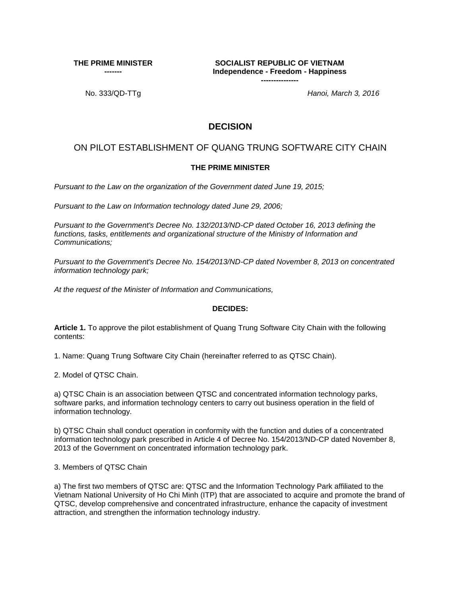**THE PRIME MINISTER** 

**-------**

**SOCIALIST REPUBLIC OF VIETNAM Independence - Freedom - Happiness ---------------**

No. 333/QD-TTg *Hanoi, March 3, 2016*

## **DECISION**

## ON PILOT ESTABLISHMENT OF QUANG TRUNG SOFTWARE CITY CHAIN

## **THE PRIME MINISTER**

*Pursuant to the Law on the organization of the Government dated June 19, 2015;*

*Pursuant to the Law on Information technology dated June 29, 2006;*

*Pursuant to the Government's Decree No. 132/2013/ND-CP dated October 16, 2013 defining the functions, tasks, entitlements and organizational structure of the Ministry of Information and Communications;*

*Pursuant to the Government's Decree No. 154/2013/ND-CP dated November 8, 2013 on concentrated information technology park;*

*At the request of the Minister of Information and Communications,*

## **DECIDES:**

**Article 1.** To approve the pilot establishment of Quang Trung Software City Chain with the following contents:

1. Name: Quang Trung Software City Chain (hereinafter referred to as QTSC Chain).

2. Model of QTSC Chain.

a) QTSC Chain is an association between QTSC and concentrated information technology parks, software parks, and information technology centers to carry out business operation in the field of information technology.

b) QTSC Chain shall conduct operation in conformity with the function and duties of a concentrated information technology park prescribed in Article 4 of Decree No. 154/2013/ND-CP dated November 8, 2013 of the Government on concentrated information technology park.

3. Members of QTSC Chain

a) The first two members of QTSC are: QTSC and the Information Technology Park affiliated to the Vietnam National University of Ho Chi Minh (ITP) that are associated to acquire and promote the brand of QTSC, develop comprehensive and concentrated infrastructure, enhance the capacity of investment attraction, and strengthen the information technology industry.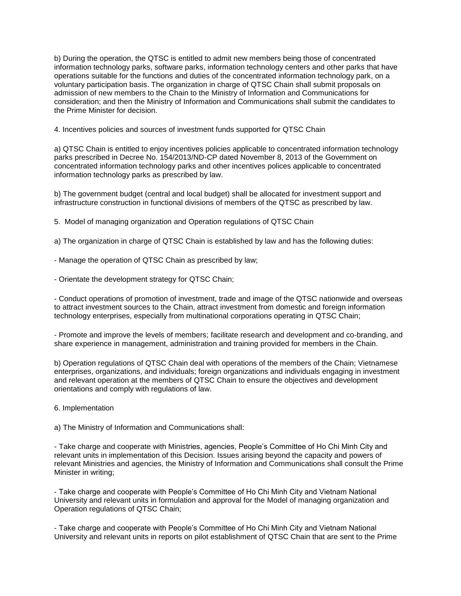b) During the operation, the QTSC is entitled to admit new members being those of concentrated information technology parks, software parks, information technology centers and other parks that have operations suitable for the functions and duties of the concentrated information technology park, on a voluntary participation basis. The organization in charge of QTSC Chain shall submit proposals on admission of new members to the Chain to the Ministry of Information and Communications for consideration; and then the Ministry of Information and Communications shall submit the candidates to the Prime Minister for decision.

4. Incentives policies and sources of investment funds supported for QTSC Chain

a) QTSC Chain is entitled to enjoy incentives policies applicable to concentrated information technology parks prescribed in Decree No. 154/2013/ND-CP dated November 8, 2013 of the Government on concentrated information technology parks and other incentives polices applicable to concentrated information technology parks as prescribed by law.

b) The government budget (central and local budget) shall be allocated for investment support and infrastructure construction in functional divisions of members of the QTSC as prescribed by law.

5. Model of managing organization and Operation regulations of QTSC Chain

a) The organization in charge of QTSC Chain is established by law and has the following duties:

- Manage the operation of QTSC Chain as prescribed by law;
- Orientate the development strategy for QTSC Chain;

- Conduct operations of promotion of investment, trade and image of the QTSC nationwide and overseas to attract investment sources to the Chain, attract investment from domestic and foreign information technology enterprises, especially from multinational corporations operating in QTSC Chain;

- Promote and improve the levels of members; facilitate research and development and co-branding, and share experience in management, administration and training provided for members in the Chain.

b) Operation regulations of QTSC Chain deal with operations of the members of the Chain; Vietnamese enterprises, organizations, and individuals; foreign organizations and individuals engaging in investment and relevant operation at the members of QTSC Chain to ensure the objectives and development orientations and comply with regulations of law.

6. Implementation

a) The Ministry of Information and Communications shall:

- Take charge and cooperate with Ministries, agencies, People's Committee of Ho Chi Minh City and relevant units in implementation of this Decision. Issues arising beyond the capacity and powers of relevant Ministries and agencies, the Ministry of Information and Communications shall consult the Prime Minister in writing;

- Take charge and cooperate with People's Committee of Ho Chi Minh City and Vietnam National University and relevant units in formulation and approval for the Model of managing organization and Operation regulations of QTSC Chain;

- Take charge and cooperate with People's Committee of Ho Chi Minh City and Vietnam National University and relevant units in reports on pilot establishment of QTSC Chain that are sent to the Prime